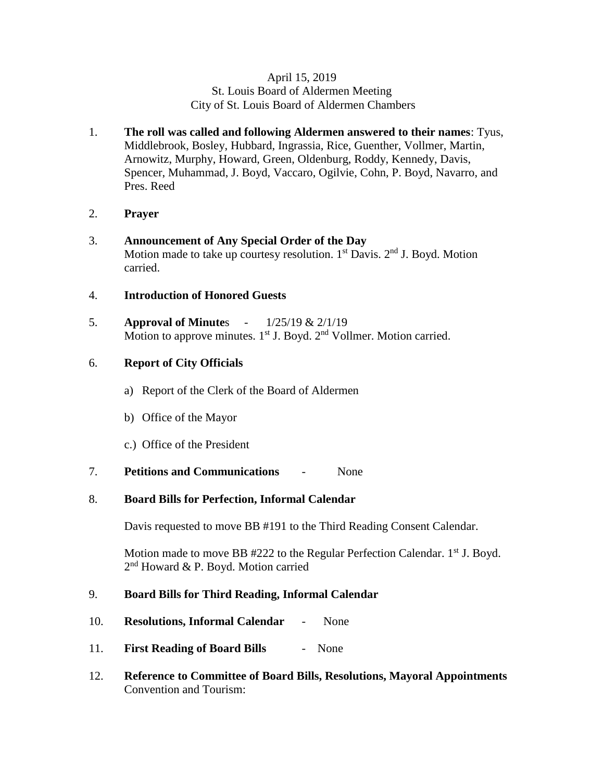### April 15, 2019 St. Louis Board of Aldermen Meeting City of St. Louis Board of Aldermen Chambers

- 1. **The roll was called and following Aldermen answered to their names**: Tyus, Middlebrook, Bosley, Hubbard, Ingrassia, Rice, Guenther, Vollmer, Martin, Arnowitz, Murphy, Howard, Green, Oldenburg, Roddy, Kennedy, Davis, Spencer, Muhammad, J. Boyd, Vaccaro, Ogilvie, Cohn, P. Boyd, Navarro, and Pres. Reed
- 2. **Prayer**
- 3. **Announcement of Any Special Order of the Day** Motion made to take up courtesy resolution.  $1<sup>st</sup>$  Davis.  $2<sup>nd</sup>$  J. Boyd. Motion carried.
- 4. **Introduction of Honored Guests**
- 5. **Approval of Minute**s 1/25/19 & 2/1/19 Motion to approve minutes. 1<sup>st</sup> J. Boyd. 2<sup>nd</sup> Vollmer. Motion carried.

# 6. **Report of City Officials**

- a) Report of the Clerk of the Board of Aldermen
- b) Office of the Mayor
- c.) Office of the President
- 7. **Petitions and Communications** None

# 8. **Board Bills for Perfection, Informal Calendar**

Davis requested to move BB #191 to the Third Reading Consent Calendar.

Motion made to move BB  $#222$  to the Regular Perfection Calendar.  $1<sup>st</sup>$  J. Boyd. 2<sup>nd</sup> Howard & P. Boyd. Motion carried

# 9. **Board Bills for Third Reading, Informal Calendar**

- 10. **Resolutions, Informal Calendar** None
- 11. **First Reading of Board Bills** None
- 12. **Reference to Committee of Board Bills, Resolutions, Mayoral Appointments** Convention and Tourism: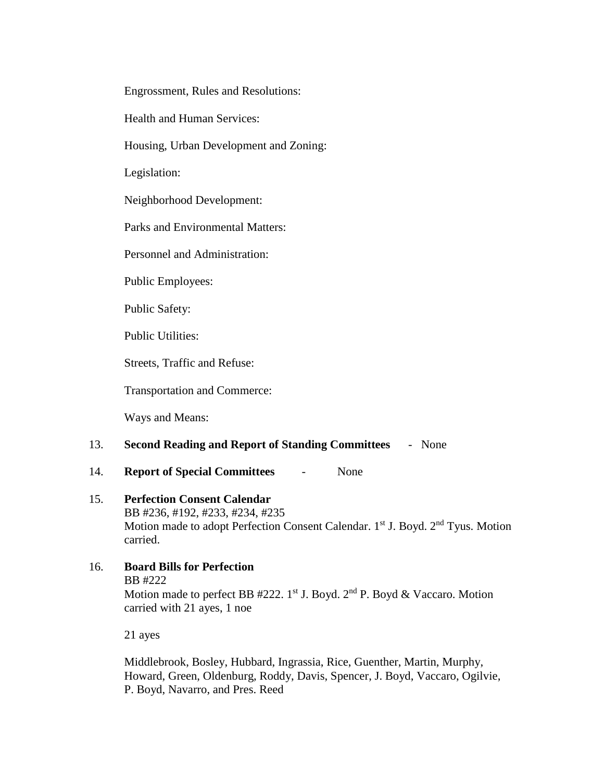Engrossment, Rules and Resolutions:

Health and Human Services:

Housing, Urban Development and Zoning:

Legislation:

Neighborhood Development:

Parks and Environmental Matters:

Personnel and Administration:

Public Employees:

Public Safety:

Public Utilities:

Streets, Traffic and Refuse:

Transportation and Commerce:

Ways and Means:

## 13. **Second Reading and Report of Standing Committees** - None

14. **Report of Special Committees** - None

#### 15. **Perfection Consent Calendar**

BB #236, #192, #233, #234, #235 Motion made to adopt Perfection Consent Calendar. 1<sup>st</sup> J. Boyd. 2<sup>nd</sup> Tyus. Motion carried.

### 16. **Board Bills for Perfection** BB #222

Motion made to perfect BB #222. 1st J. Boyd.  $2<sup>nd</sup>$  P. Boyd & Vaccaro. Motion carried with 21 ayes, 1 noe

21 ayes

Middlebrook, Bosley, Hubbard, Ingrassia, Rice, Guenther, Martin, Murphy, Howard, Green, Oldenburg, Roddy, Davis, Spencer, J. Boyd, Vaccaro, Ogilvie, P. Boyd, Navarro, and Pres. Reed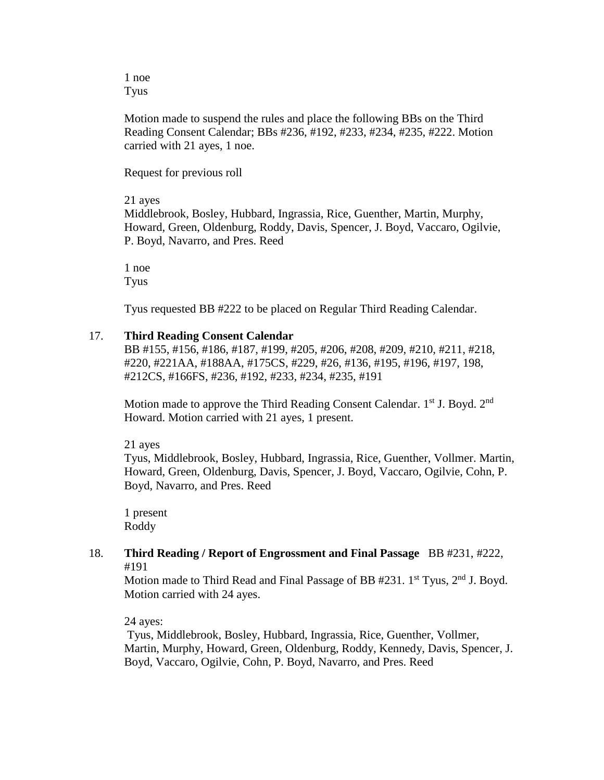1 noe Tyus

Motion made to suspend the rules and place the following BBs on the Third Reading Consent Calendar; BBs #236, #192, #233, #234, #235, #222. Motion carried with 21 ayes, 1 noe.

Request for previous roll

### 21 ayes

Middlebrook, Bosley, Hubbard, Ingrassia, Rice, Guenther, Martin, Murphy, Howard, Green, Oldenburg, Roddy, Davis, Spencer, J. Boyd, Vaccaro, Ogilvie, P. Boyd, Navarro, and Pres. Reed

1 noe Tyus

Tyus requested BB #222 to be placed on Regular Third Reading Calendar.

## 17. **Third Reading Consent Calendar**

BB #155, #156, #186, #187, #199, #205, #206, #208, #209, #210, #211, #218, #220, #221AA, #188AA, #175CS, #229, #26, #136, #195, #196, #197, 198, #212CS, #166FS, #236, #192, #233, #234, #235, #191

Motion made to approve the Third Reading Consent Calendar.  $1<sup>st</sup>$  J. Boyd.  $2<sup>nd</sup>$ Howard. Motion carried with 21 ayes, 1 present.

21 ayes

Tyus, Middlebrook, Bosley, Hubbard, Ingrassia, Rice, Guenther, Vollmer. Martin, Howard, Green, Oldenburg, Davis, Spencer, J. Boyd, Vaccaro, Ogilvie, Cohn, P. Boyd, Navarro, and Pres. Reed

1 present Roddy

### 18. **Third Reading / Report of Engrossment and Final Passage** BB #231, #222, #191

Motion made to Third Read and Final Passage of BB  $#231$ .  $1^{st}$  Tyus,  $2^{nd}$  J. Boyd. Motion carried with 24 ayes.

24 ayes:

Tyus, Middlebrook, Bosley, Hubbard, Ingrassia, Rice, Guenther, Vollmer, Martin, Murphy, Howard, Green, Oldenburg, Roddy, Kennedy, Davis, Spencer, J. Boyd, Vaccaro, Ogilvie, Cohn, P. Boyd, Navarro, and Pres. Reed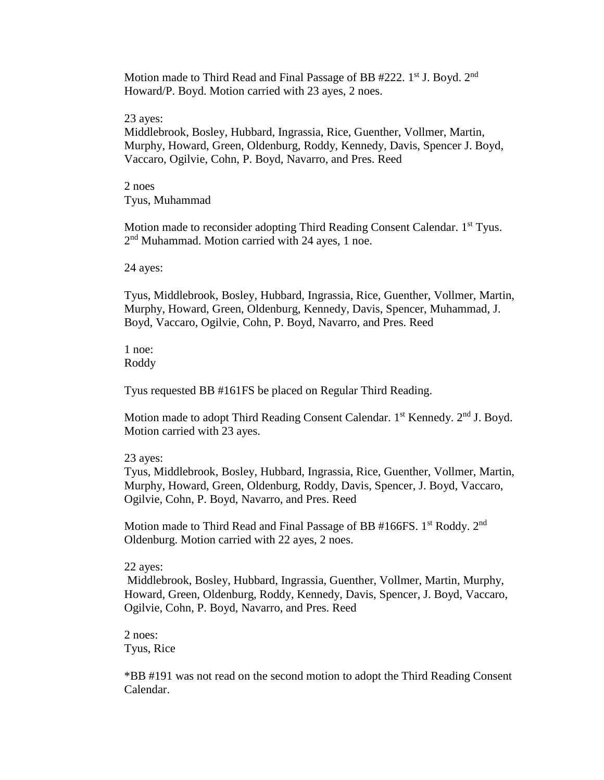Motion made to Third Read and Final Passage of BB #222. 1<sup>st</sup> J. Boyd. 2<sup>nd</sup> Howard/P. Boyd. Motion carried with 23 ayes, 2 noes.

23 ayes:

Middlebrook, Bosley, Hubbard, Ingrassia, Rice, Guenther, Vollmer, Martin, Murphy, Howard, Green, Oldenburg, Roddy, Kennedy, Davis, Spencer J. Boyd, Vaccaro, Ogilvie, Cohn, P. Boyd, Navarro, and Pres. Reed

2 noes Tyus, Muhammad

Motion made to reconsider adopting Third Reading Consent Calendar. 1<sup>st</sup> Tyus. 2<sup>nd</sup> Muhammad. Motion carried with 24 ayes, 1 noe.

24 ayes:

Tyus, Middlebrook, Bosley, Hubbard, Ingrassia, Rice, Guenther, Vollmer, Martin, Murphy, Howard, Green, Oldenburg, Kennedy, Davis, Spencer, Muhammad, J. Boyd, Vaccaro, Ogilvie, Cohn, P. Boyd, Navarro, and Pres. Reed

1 noe: Roddy

Tyus requested BB #161FS be placed on Regular Third Reading.

Motion made to adopt Third Reading Consent Calendar.  $1<sup>st</sup>$  Kennedy.  $2<sup>nd</sup>$  J. Boyd. Motion carried with 23 ayes.

#### 23 ayes:

Tyus, Middlebrook, Bosley, Hubbard, Ingrassia, Rice, Guenther, Vollmer, Martin, Murphy, Howard, Green, Oldenburg, Roddy, Davis, Spencer, J. Boyd, Vaccaro, Ogilvie, Cohn, P. Boyd, Navarro, and Pres. Reed

Motion made to Third Read and Final Passage of BB #166FS. 1<sup>st</sup> Roddy. 2<sup>nd</sup> Oldenburg. Motion carried with 22 ayes, 2 noes.

22 ayes:

Middlebrook, Bosley, Hubbard, Ingrassia, Guenther, Vollmer, Martin, Murphy, Howard, Green, Oldenburg, Roddy, Kennedy, Davis, Spencer, J. Boyd, Vaccaro, Ogilvie, Cohn, P. Boyd, Navarro, and Pres. Reed

2 noes: Tyus, Rice

\*BB #191 was not read on the second motion to adopt the Third Reading Consent Calendar.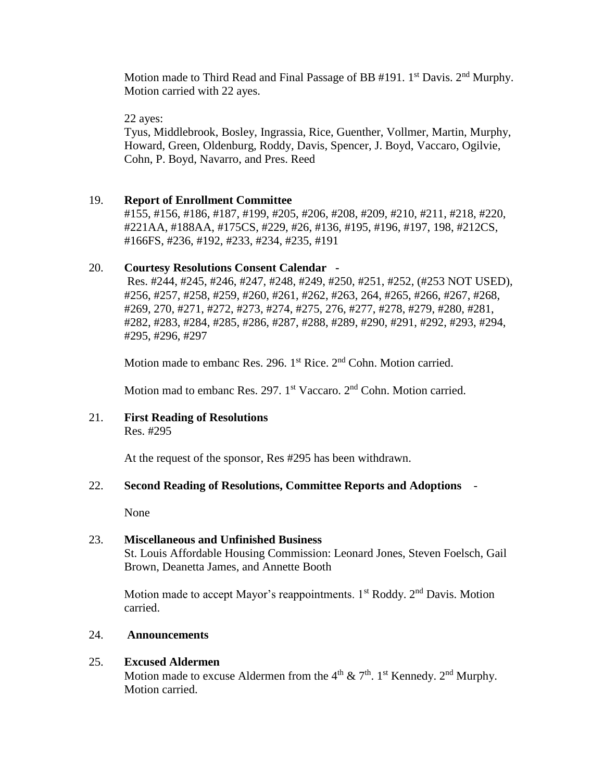Motion made to Third Read and Final Passage of BB  $#191$ . 1<sup>st</sup> Davis. 2<sup>nd</sup> Murphy. Motion carried with 22 ayes.

22 ayes:

Tyus, Middlebrook, Bosley, Ingrassia, Rice, Guenther, Vollmer, Martin, Murphy, Howard, Green, Oldenburg, Roddy, Davis, Spencer, J. Boyd, Vaccaro, Ogilvie, Cohn, P. Boyd, Navarro, and Pres. Reed

## 19. **Report of Enrollment Committee**

#155, #156, #186, #187, #199, #205, #206, #208, #209, #210, #211, #218, #220, #221AA, #188AA, #175CS, #229, #26, #136, #195, #196, #197, 198, #212CS, #166FS, #236, #192, #233, #234, #235, #191

## 20. **Courtesy Resolutions Consent Calendar -**

Res. #244, #245, #246, #247, #248, #249, #250, #251, #252, (#253 NOT USED), #256, #257, #258, #259, #260, #261, #262, #263, 264, #265, #266, #267, #268, #269, 270, #271, #272, #273, #274, #275, 276, #277, #278, #279, #280, #281, #282, #283, #284, #285, #286, #287, #288, #289, #290, #291, #292, #293, #294, #295, #296, #297

Motion made to embanc Res. 296. 1<sup>st</sup> Rice. 2<sup>nd</sup> Cohn. Motion carried.

Motion mad to embanc Res. 297. 1<sup>st</sup> Vaccaro. 2<sup>nd</sup> Cohn. Motion carried.

21. **First Reading of Resolutions** Res. #295

At the request of the sponsor, Res #295 has been withdrawn.

# 22. **Second Reading of Resolutions, Committee Reports and Adoptions** -

None

# 23. **Miscellaneous and Unfinished Business** St. Louis Affordable Housing Commission: Leonard Jones, Steven Foelsch, Gail Brown, Deanetta James, and Annette Booth

Motion made to accept Mayor's reappointments.  $1<sup>st</sup>$  Roddy.  $2<sup>nd</sup>$  Davis. Motion carried.

### 24. **Announcements**

# 25. **Excused Aldermen**

Motion made to excuse Aldermen from the  $4<sup>th</sup>$  &  $7<sup>th</sup>$ . 1<sup>st</sup> Kennedy. 2<sup>nd</sup> Murphy. Motion carried.